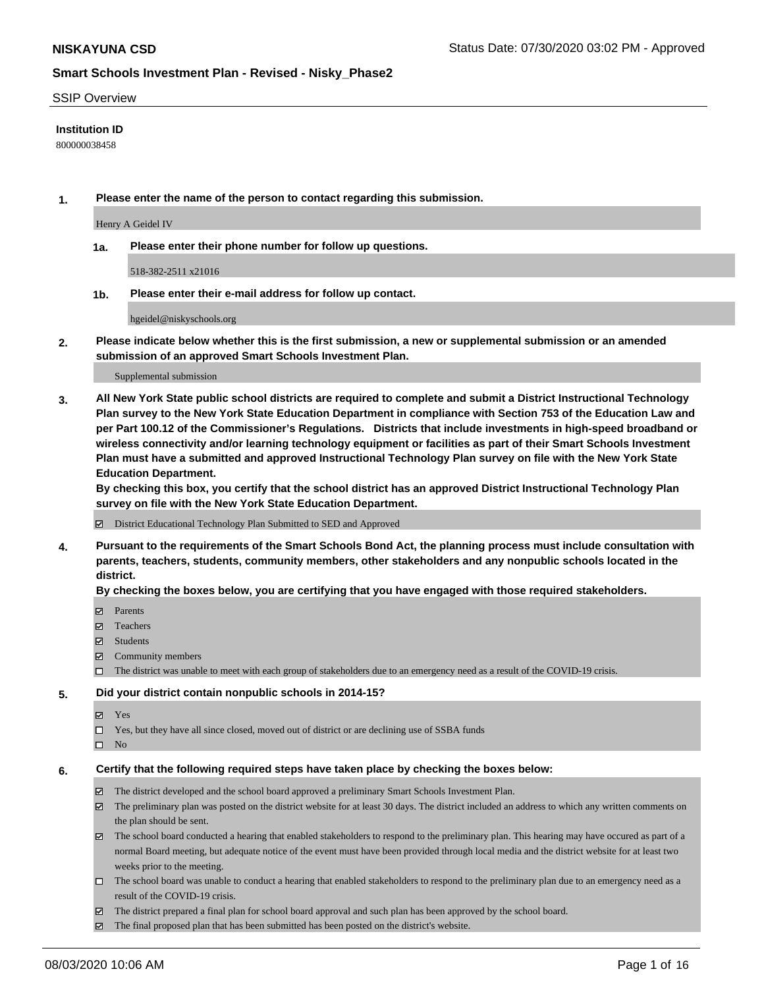### SSIP Overview

### **Institution ID**

800000038458

**1. Please enter the name of the person to contact regarding this submission.**

Henry A Geidel IV

**1a. Please enter their phone number for follow up questions.**

518-382-2511 x21016

**1b. Please enter their e-mail address for follow up contact.**

hgeidel@niskyschools.org

**2. Please indicate below whether this is the first submission, a new or supplemental submission or an amended submission of an approved Smart Schools Investment Plan.**

#### Supplemental submission

**3. All New York State public school districts are required to complete and submit a District Instructional Technology Plan survey to the New York State Education Department in compliance with Section 753 of the Education Law and per Part 100.12 of the Commissioner's Regulations. Districts that include investments in high-speed broadband or wireless connectivity and/or learning technology equipment or facilities as part of their Smart Schools Investment Plan must have a submitted and approved Instructional Technology Plan survey on file with the New York State Education Department.** 

**By checking this box, you certify that the school district has an approved District Instructional Technology Plan survey on file with the New York State Education Department.**

District Educational Technology Plan Submitted to SED and Approved

**4. Pursuant to the requirements of the Smart Schools Bond Act, the planning process must include consultation with parents, teachers, students, community members, other stakeholders and any nonpublic schools located in the district.** 

### **By checking the boxes below, you are certifying that you have engaged with those required stakeholders.**

- **□** Parents
- Teachers
- Students
- $\boxtimes$  Community members
- The district was unable to meet with each group of stakeholders due to an emergency need as a result of the COVID-19 crisis.

### **5. Did your district contain nonpublic schools in 2014-15?**

- **冈** Yes
- Yes, but they have all since closed, moved out of district or are declining use of SSBA funds
- $\square$  No

### **6. Certify that the following required steps have taken place by checking the boxes below:**

- The district developed and the school board approved a preliminary Smart Schools Investment Plan.
- $\boxtimes$  The preliminary plan was posted on the district website for at least 30 days. The district included an address to which any written comments on the plan should be sent.
- $\boxtimes$  The school board conducted a hearing that enabled stakeholders to respond to the preliminary plan. This hearing may have occured as part of a normal Board meeting, but adequate notice of the event must have been provided through local media and the district website for at least two weeks prior to the meeting.
- The school board was unable to conduct a hearing that enabled stakeholders to respond to the preliminary plan due to an emergency need as a result of the COVID-19 crisis.
- The district prepared a final plan for school board approval and such plan has been approved by the school board.
- $\boxtimes$  The final proposed plan that has been submitted has been posted on the district's website.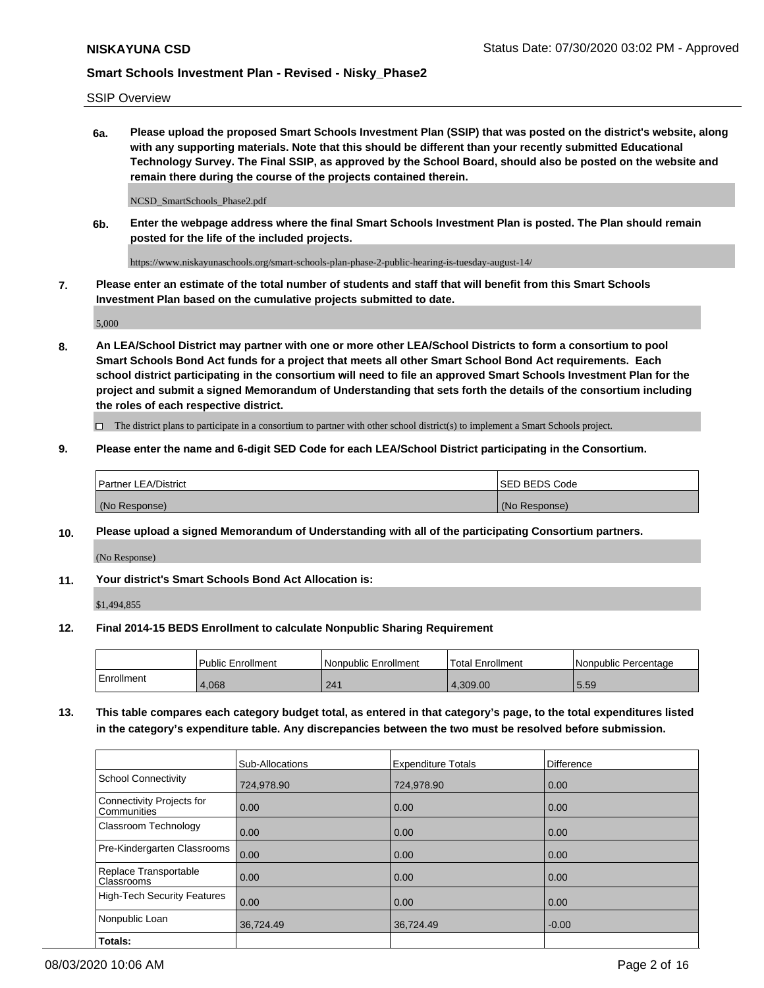SSIP Overview

**6a. Please upload the proposed Smart Schools Investment Plan (SSIP) that was posted on the district's website, along with any supporting materials. Note that this should be different than your recently submitted Educational Technology Survey. The Final SSIP, as approved by the School Board, should also be posted on the website and remain there during the course of the projects contained therein.**

NCSD\_SmartSchools\_Phase2.pdf

**6b. Enter the webpage address where the final Smart Schools Investment Plan is posted. The Plan should remain posted for the life of the included projects.**

https://www.niskayunaschools.org/smart-schools-plan-phase-2-public-hearing-is-tuesday-august-14/

**7. Please enter an estimate of the total number of students and staff that will benefit from this Smart Schools Investment Plan based on the cumulative projects submitted to date.**

5,000

**8. An LEA/School District may partner with one or more other LEA/School Districts to form a consortium to pool Smart Schools Bond Act funds for a project that meets all other Smart School Bond Act requirements. Each school district participating in the consortium will need to file an approved Smart Schools Investment Plan for the project and submit a signed Memorandum of Understanding that sets forth the details of the consortium including the roles of each respective district.**

 $\Box$  The district plans to participate in a consortium to partner with other school district(s) to implement a Smart Schools project.

## **9. Please enter the name and 6-digit SED Code for each LEA/School District participating in the Consortium.**

| Partner LEA/District | <b>ISED BEDS Code</b> |
|----------------------|-----------------------|
| (No Response)        | (No Response)         |

## **10. Please upload a signed Memorandum of Understanding with all of the participating Consortium partners.**

(No Response)

## **11. Your district's Smart Schools Bond Act Allocation is:**

\$1,494,855

### **12. Final 2014-15 BEDS Enrollment to calculate Nonpublic Sharing Requirement**

|            | Public Enrollment | Nonpublic Enrollment | Total Enrollment | l Nonpublic Percentage |
|------------|-------------------|----------------------|------------------|------------------------|
| Enrollment | 1.068             | 241                  | 4.309.00         | 5.59                   |

**13. This table compares each category budget total, as entered in that category's page, to the total expenditures listed in the category's expenditure table. Any discrepancies between the two must be resolved before submission.**

|                                          | Sub-Allocations | <b>Expenditure Totals</b> | Difference |
|------------------------------------------|-----------------|---------------------------|------------|
| <b>School Connectivity</b>               | 724,978.90      | 724,978.90                | 0.00       |
| Connectivity Projects for<br>Communities | 0.00            | 0.00                      | 0.00       |
| Classroom Technology                     | 0.00            | 0.00                      | 0.00       |
| Pre-Kindergarten Classrooms              | 0.00            | 0.00                      | 0.00       |
| Replace Transportable<br>Classrooms      | 0.00            | 0.00                      | 0.00       |
| <b>High-Tech Security Features</b>       | 0.00            | 0.00                      | 0.00       |
| Nonpublic Loan                           | 36,724.49       | 36.724.49                 | $-0.00$    |
| Totals:                                  |                 |                           |            |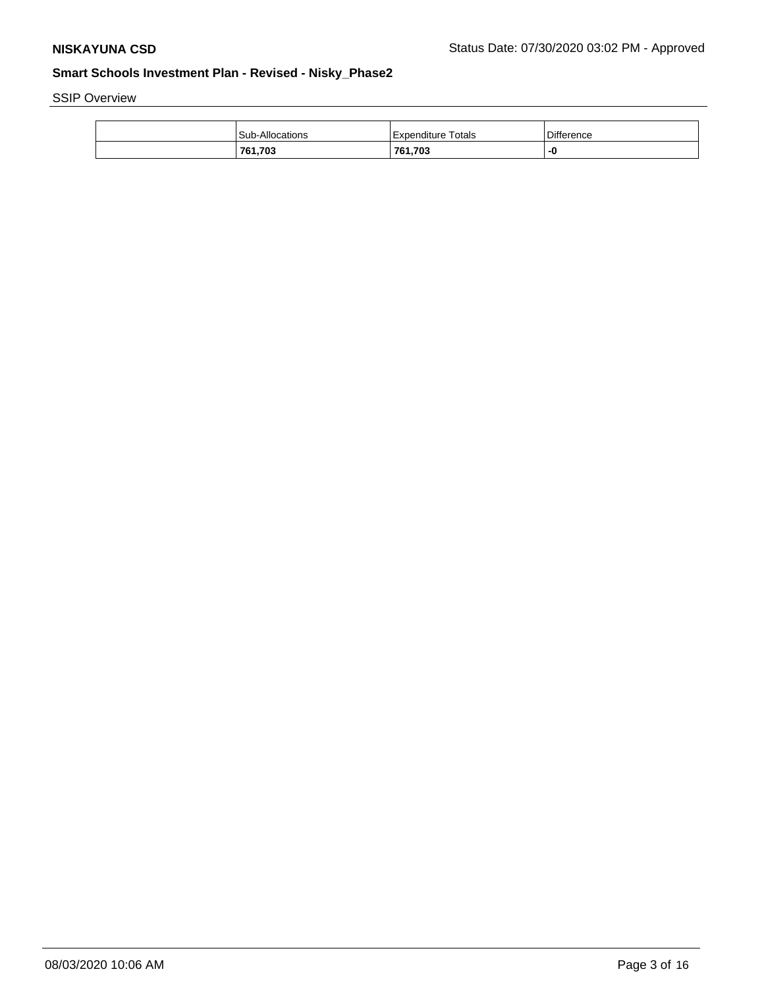SSIP Overview

| Sub-Allocations | l Expenditure Totals | <b>Difference</b> |
|-----------------|----------------------|-------------------|
| 761,703         | 761,703              | -0                |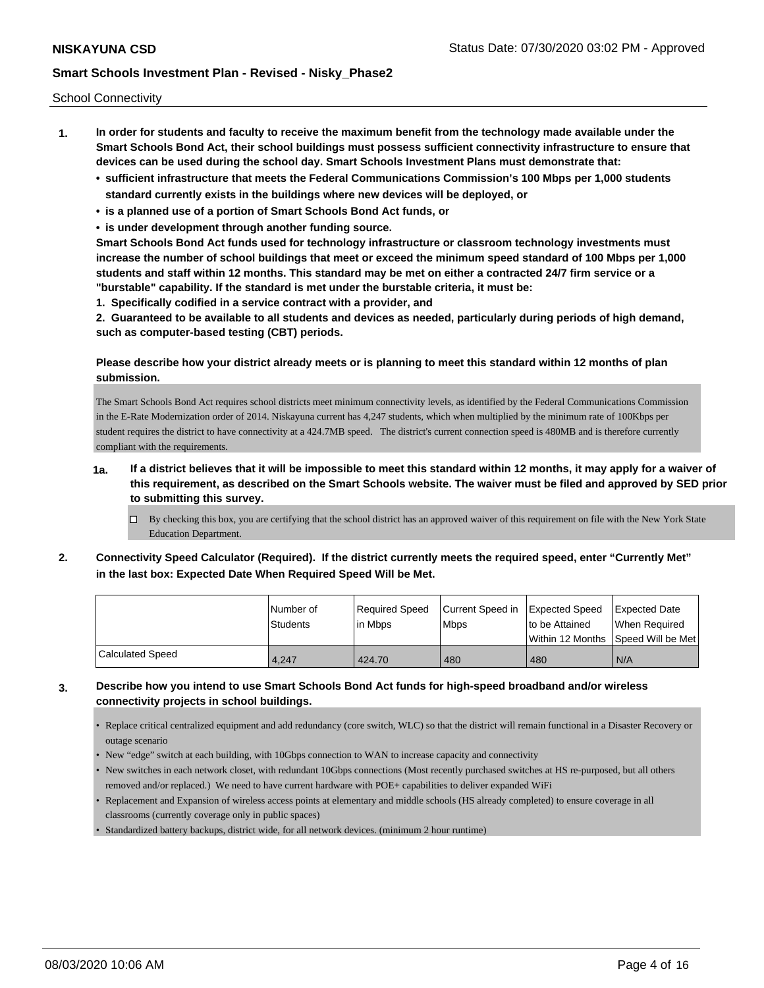School Connectivity

- **1. In order for students and faculty to receive the maximum benefit from the technology made available under the Smart Schools Bond Act, their school buildings must possess sufficient connectivity infrastructure to ensure that devices can be used during the school day. Smart Schools Investment Plans must demonstrate that:**
	- **• sufficient infrastructure that meets the Federal Communications Commission's 100 Mbps per 1,000 students standard currently exists in the buildings where new devices will be deployed, or**
	- **• is a planned use of a portion of Smart Schools Bond Act funds, or**
	- **• is under development through another funding source.**

**Smart Schools Bond Act funds used for technology infrastructure or classroom technology investments must increase the number of school buildings that meet or exceed the minimum speed standard of 100 Mbps per 1,000 students and staff within 12 months. This standard may be met on either a contracted 24/7 firm service or a "burstable" capability. If the standard is met under the burstable criteria, it must be:**

**1. Specifically codified in a service contract with a provider, and**

**2. Guaranteed to be available to all students and devices as needed, particularly during periods of high demand, such as computer-based testing (CBT) periods.**

## **Please describe how your district already meets or is planning to meet this standard within 12 months of plan submission.**

The Smart Schools Bond Act requires school districts meet minimum connectivity levels, as identified by the Federal Communications Commission in the E-Rate Modernization order of 2014. Niskayuna current has 4,247 students, which when multiplied by the minimum rate of 100Kbps per student requires the district to have connectivity at a 424.7MB speed. The district's current connection speed is 480MB and is therefore currently compliant with the requirements.

# **1a. If a district believes that it will be impossible to meet this standard within 12 months, it may apply for a waiver of this requirement, as described on the Smart Schools website. The waiver must be filed and approved by SED prior to submitting this survey.**

- $\Box$  By checking this box, you are certifying that the school district has an approved waiver of this requirement on file with the New York State Education Department.
- **2. Connectivity Speed Calculator (Required). If the district currently meets the required speed, enter "Currently Met" in the last box: Expected Date When Required Speed Will be Met.**

|                  | l Number of     | Required Speed | Current Speed in Expected Speed |                 | Expected Date                        |
|------------------|-----------------|----------------|---------------------------------|-----------------|--------------------------------------|
|                  | <b>Students</b> | l in Mbps      | <b>Mbps</b>                     | Ito be Attained | When Required                        |
|                  |                 |                |                                 |                 | Within 12 Months 1Speed Will be Met1 |
| Calculated Speed | 4,247           | 424.70         | 480                             | 480             | N/A                                  |

## **3. Describe how you intend to use Smart Schools Bond Act funds for high-speed broadband and/or wireless connectivity projects in school buildings.**

- Replace critical centralized equipment and add redundancy (core switch, WLC) so that the district will remain functional in a Disaster Recovery or outage scenario
- New "edge" switch at each building, with 10Gbps connection to WAN to increase capacity and connectivity
- New switches in each network closet, with redundant 10Gbps connections (Most recently purchased switches at HS re-purposed, but all others removed and/or replaced.) We need to have current hardware with POE+ capabilities to deliver expanded WiFi
- Replacement and Expansion of wireless access points at elementary and middle schools (HS already completed) to ensure coverage in all classrooms (currently coverage only in public spaces)
- Standardized battery backups, district wide, for all network devices. (minimum 2 hour runtime)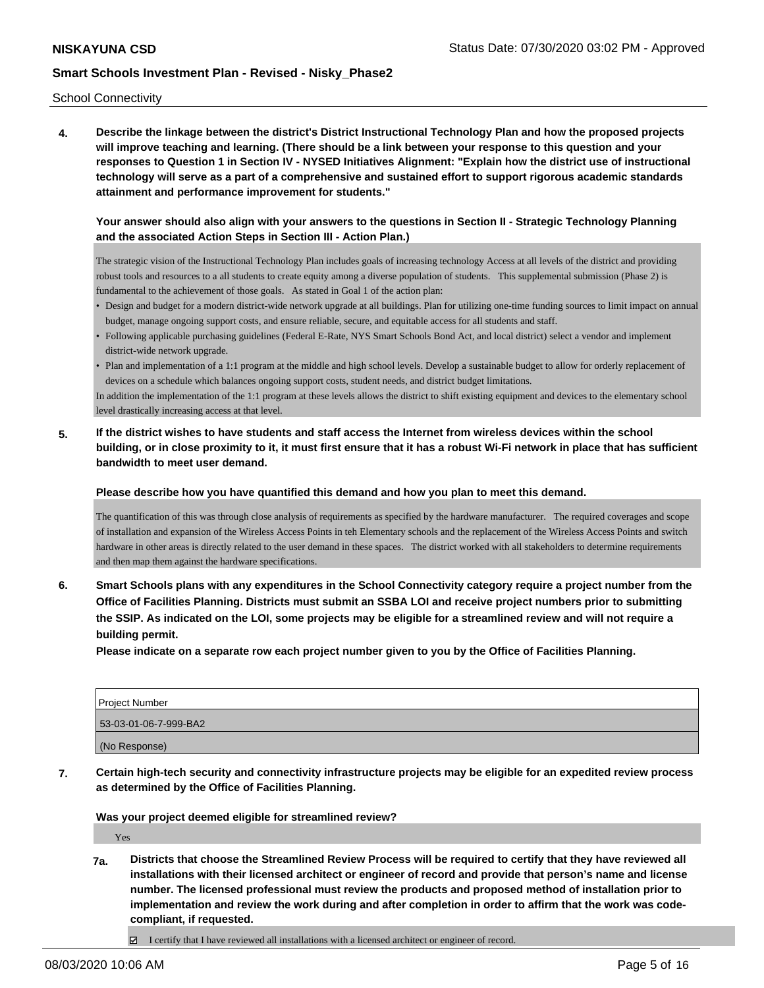School Connectivity

**4. Describe the linkage between the district's District Instructional Technology Plan and how the proposed projects will improve teaching and learning. (There should be a link between your response to this question and your responses to Question 1 in Section IV - NYSED Initiatives Alignment: "Explain how the district use of instructional technology will serve as a part of a comprehensive and sustained effort to support rigorous academic standards attainment and performance improvement for students."** 

## **Your answer should also align with your answers to the questions in Section II - Strategic Technology Planning and the associated Action Steps in Section III - Action Plan.)**

The strategic vision of the Instructional Technology Plan includes goals of increasing technology Access at all levels of the district and providing robust tools and resources to a all students to create equity among a diverse population of students. This supplemental submission (Phase 2) is fundamental to the achievement of those goals. As stated in Goal 1 of the action plan:

- Design and budget for a modern district-wide network upgrade at all buildings. Plan for utilizing one-time funding sources to limit impact on annual budget, manage ongoing support costs, and ensure reliable, secure, and equitable access for all students and staff.
- Following applicable purchasing guidelines (Federal E-Rate, NYS Smart Schools Bond Act, and local district) select a vendor and implement district-wide network upgrade.
- Plan and implementation of a 1:1 program at the middle and high school levels. Develop a sustainable budget to allow for orderly replacement of devices on a schedule which balances ongoing support costs, student needs, and district budget limitations.

In addition the implementation of the 1:1 program at these levels allows the district to shift existing equipment and devices to the elementary school level drastically increasing access at that level.

**5. If the district wishes to have students and staff access the Internet from wireless devices within the school building, or in close proximity to it, it must first ensure that it has a robust Wi-Fi network in place that has sufficient bandwidth to meet user demand.**

**Please describe how you have quantified this demand and how you plan to meet this demand.**

The quantification of this was through close analysis of requirements as specified by the hardware manufacturer. The required coverages and scope of installation and expansion of the Wireless Access Points in teh Elementary schools and the replacement of the Wireless Access Points and switch hardware in other areas is directly related to the user demand in these spaces. The district worked with all stakeholders to determine requirements and then map them against the hardware specifications.

**6. Smart Schools plans with any expenditures in the School Connectivity category require a project number from the Office of Facilities Planning. Districts must submit an SSBA LOI and receive project numbers prior to submitting the SSIP. As indicated on the LOI, some projects may be eligible for a streamlined review and will not require a building permit.**

**Please indicate on a separate row each project number given to you by the Office of Facilities Planning.**

| <b>Project Number</b> |
|-----------------------|
| 53-03-01-06-7-999-BA2 |
| (No Response)         |

**7. Certain high-tech security and connectivity infrastructure projects may be eligible for an expedited review process as determined by the Office of Facilities Planning.**

**Was your project deemed eligible for streamlined review?**

Yes

**7a. Districts that choose the Streamlined Review Process will be required to certify that they have reviewed all installations with their licensed architect or engineer of record and provide that person's name and license number. The licensed professional must review the products and proposed method of installation prior to implementation and review the work during and after completion in order to affirm that the work was codecompliant, if requested.**

I certify that I have reviewed all installations with a licensed architect or engineer of record.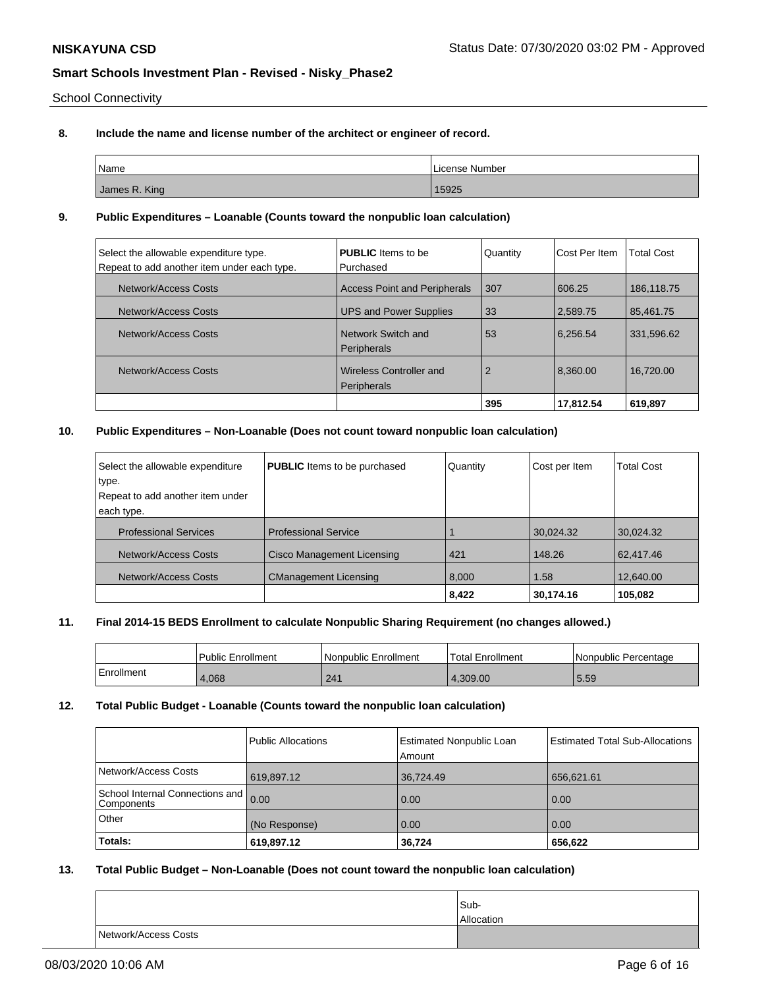School Connectivity

## **8. Include the name and license number of the architect or engineer of record.**

| Name                     | License Number |
|--------------------------|----------------|
| James R. King<br>_______ | 15925          |

## **9. Public Expenditures – Loanable (Counts toward the nonpublic loan calculation)**

| Select the allowable expenditure type.<br>Repeat to add another item under each type. | <b>PUBLIC</b> Items to be<br>l Purchased | Quantity       | Cost Per Item | <b>Total Cost</b> |
|---------------------------------------------------------------------------------------|------------------------------------------|----------------|---------------|-------------------|
| Network/Access Costs                                                                  | <b>Access Point and Peripherals</b>      | 307            | 606.25        | 186,118.75        |
| Network/Access Costs                                                                  | <b>UPS and Power Supplies</b>            | 33             | 2,589.75      | 85.461.75         |
| Network/Access Costs                                                                  | Network Switch and<br>Peripherals        | 53             | 6.256.54      | 331.596.62        |
| Network/Access Costs                                                                  | Wireless Controller and<br>Peripherals   | $\overline{2}$ | 8.360.00      | 16.720.00         |
|                                                                                       |                                          | 395            | 17,812.54     | 619,897           |

## **10. Public Expenditures – Non-Loanable (Does not count toward nonpublic loan calculation)**

| Select the allowable expenditure | <b>PUBLIC</b> Items to be purchased | Quantity | Cost per Item | <b>Total Cost</b> |
|----------------------------------|-------------------------------------|----------|---------------|-------------------|
| type.                            |                                     |          |               |                   |
| Repeat to add another item under |                                     |          |               |                   |
| each type.                       |                                     |          |               |                   |
| <b>Professional Services</b>     | <b>Professional Service</b>         |          | 30,024.32     | 30,024.32         |
| Network/Access Costs             | Cisco Management Licensing          | 421      | 148.26        | 62,417.46         |
| Network/Access Costs             | <b>CManagement Licensing</b>        | 8,000    | 1.58          | 12,640.00         |
|                                  |                                     | 8,422    | 30,174.16     | 105,082           |

## **11. Final 2014-15 BEDS Enrollment to calculate Nonpublic Sharing Requirement (no changes allowed.)**

|            | Public Enrollment | <b>Nonpublic Enrollment</b> | Total Enrollment | l Nonpublic Percentage |
|------------|-------------------|-----------------------------|------------------|------------------------|
| Enrollment | 4.068             | 241                         | .309.00          | 5.59                   |

## **12. Total Public Budget - Loanable (Counts toward the nonpublic loan calculation)**

|                                                    | <b>Public Allocations</b> | Estimated Nonpublic Loan<br>Amount | <b>Estimated Total Sub-Allocations</b> |
|----------------------------------------------------|---------------------------|------------------------------------|----------------------------------------|
| Network/Access Costs                               | 619,897.12                | 36,724.49                          | 656,621.61                             |
| School Internal Connections and 0.00<br>Components |                           | 0.00                               | 0.00                                   |
| Other                                              | (No Response)             | 0.00                               | 0.00                                   |
| Totals:                                            | 619,897.12                | 36.724                             | 656,622                                |

### **13. Total Public Budget – Non-Loanable (Does not count toward the nonpublic loan calculation)**

|                      | Sub-              |
|----------------------|-------------------|
|                      | <b>Allocation</b> |
| Network/Access Costs |                   |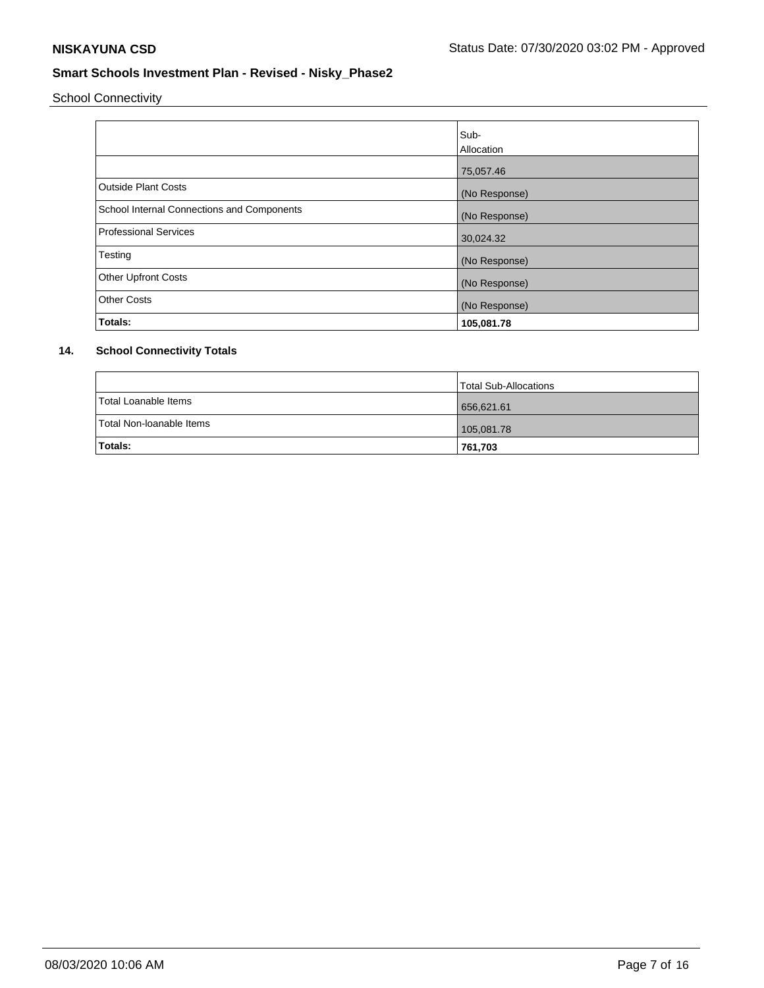School Connectivity

|                                            | Sub-<br>Allocation |
|--------------------------------------------|--------------------|
|                                            | 75,057.46          |
| <b>Outside Plant Costs</b>                 | (No Response)      |
| School Internal Connections and Components | (No Response)      |
| <b>Professional Services</b>               | 30,024.32          |
| Testing                                    | (No Response)      |
| <b>Other Upfront Costs</b>                 | (No Response)      |
| <b>Other Costs</b>                         | (No Response)      |
| Totals:                                    | 105,081.78         |

# **14. School Connectivity Totals**

|                          | Total Sub-Allocations |
|--------------------------|-----------------------|
| Total Loanable Items     | 656,621.61            |
| Total Non-loanable Items | 105,081.78            |
| Totals:                  | 761,703               |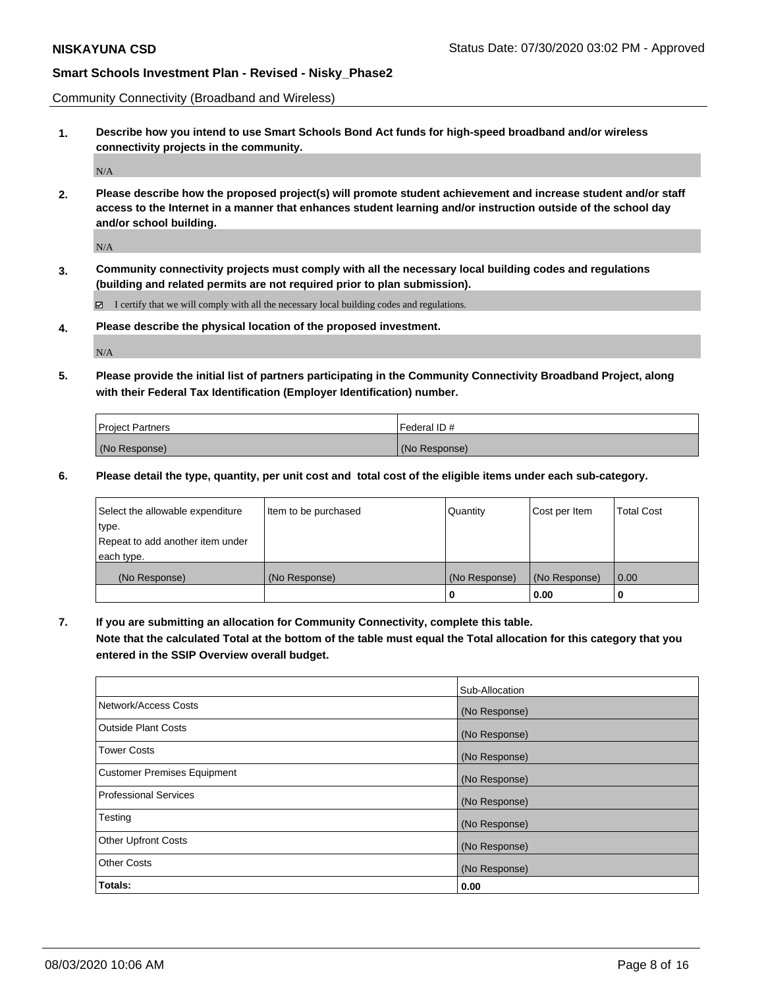Community Connectivity (Broadband and Wireless)

**1. Describe how you intend to use Smart Schools Bond Act funds for high-speed broadband and/or wireless connectivity projects in the community.**

N/A

**2. Please describe how the proposed project(s) will promote student achievement and increase student and/or staff access to the Internet in a manner that enhances student learning and/or instruction outside of the school day and/or school building.**

N/A

**3. Community connectivity projects must comply with all the necessary local building codes and regulations (building and related permits are not required prior to plan submission).**

 $\boxtimes$  I certify that we will comply with all the necessary local building codes and regulations.

**4. Please describe the physical location of the proposed investment.**

N/A

**5. Please provide the initial list of partners participating in the Community Connectivity Broadband Project, along with their Federal Tax Identification (Employer Identification) number.**

| <b>Project Partners</b> | l Federal ID # |
|-------------------------|----------------|
| (No Response)           | (No Response)  |

**6. Please detail the type, quantity, per unit cost and total cost of the eligible items under each sub-category.**

| Select the allowable expenditure | Item to be purchased | Quantity      | Cost per Item | <b>Total Cost</b> |
|----------------------------------|----------------------|---------------|---------------|-------------------|
| type.                            |                      |               |               |                   |
| Repeat to add another item under |                      |               |               |                   |
| each type.                       |                      |               |               |                   |
| (No Response)                    | (No Response)        | (No Response) | (No Response) | 0.00              |
|                                  |                      | U             | 0.00          |                   |

**7. If you are submitting an allocation for Community Connectivity, complete this table.**

**Note that the calculated Total at the bottom of the table must equal the Total allocation for this category that you entered in the SSIP Overview overall budget.**

|                                    | Sub-Allocation |
|------------------------------------|----------------|
| Network/Access Costs               | (No Response)  |
| Outside Plant Costs                | (No Response)  |
| <b>Tower Costs</b>                 | (No Response)  |
| <b>Customer Premises Equipment</b> | (No Response)  |
| <b>Professional Services</b>       | (No Response)  |
| Testing                            | (No Response)  |
| <b>Other Upfront Costs</b>         | (No Response)  |
| <b>Other Costs</b>                 | (No Response)  |
| Totals:                            | 0.00           |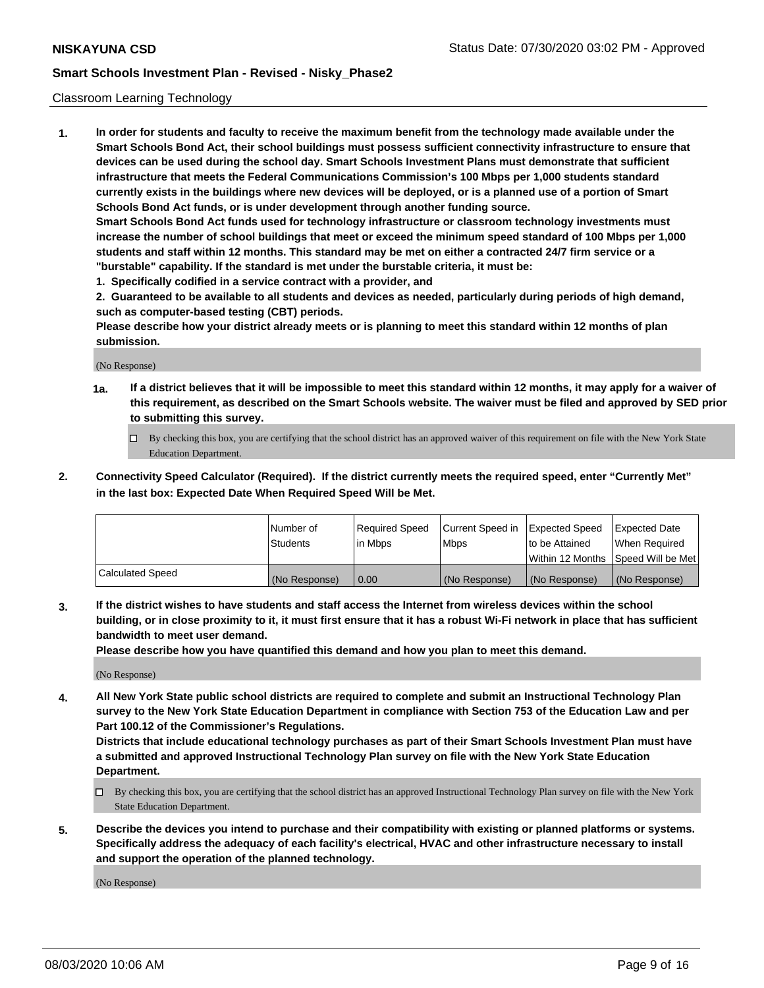### Classroom Learning Technology

**1. In order for students and faculty to receive the maximum benefit from the technology made available under the Smart Schools Bond Act, their school buildings must possess sufficient connectivity infrastructure to ensure that devices can be used during the school day. Smart Schools Investment Plans must demonstrate that sufficient infrastructure that meets the Federal Communications Commission's 100 Mbps per 1,000 students standard currently exists in the buildings where new devices will be deployed, or is a planned use of a portion of Smart Schools Bond Act funds, or is under development through another funding source. Smart Schools Bond Act funds used for technology infrastructure or classroom technology investments must increase the number of school buildings that meet or exceed the minimum speed standard of 100 Mbps per 1,000 students and staff within 12 months. This standard may be met on either a contracted 24/7 firm service or a**

**"burstable" capability. If the standard is met under the burstable criteria, it must be:**

**1. Specifically codified in a service contract with a provider, and**

**2. Guaranteed to be available to all students and devices as needed, particularly during periods of high demand, such as computer-based testing (CBT) periods.**

**Please describe how your district already meets or is planning to meet this standard within 12 months of plan submission.**

(No Response)

- **1a. If a district believes that it will be impossible to meet this standard within 12 months, it may apply for a waiver of this requirement, as described on the Smart Schools website. The waiver must be filed and approved by SED prior to submitting this survey.**
	- By checking this box, you are certifying that the school district has an approved waiver of this requirement on file with the New York State Education Department.
- **2. Connectivity Speed Calculator (Required). If the district currently meets the required speed, enter "Currently Met" in the last box: Expected Date When Required Speed Will be Met.**

|                  | l Number of     | Required Speed | Current Speed in | <b>Expected Speed</b> | <b>Expected Date</b>                |
|------------------|-----------------|----------------|------------------|-----------------------|-------------------------------------|
|                  | <b>Students</b> | l in Mbps      | l Mbps           | to be Attained        | When Required                       |
|                  |                 |                |                  |                       | Within 12 Months  Speed Will be Met |
| Calculated Speed | (No Response)   | 0.00           | (No Response)    | l (No Response)       | (No Response)                       |

**3. If the district wishes to have students and staff access the Internet from wireless devices within the school building, or in close proximity to it, it must first ensure that it has a robust Wi-Fi network in place that has sufficient bandwidth to meet user demand.**

**Please describe how you have quantified this demand and how you plan to meet this demand.**

(No Response)

**4. All New York State public school districts are required to complete and submit an Instructional Technology Plan survey to the New York State Education Department in compliance with Section 753 of the Education Law and per Part 100.12 of the Commissioner's Regulations.**

**Districts that include educational technology purchases as part of their Smart Schools Investment Plan must have a submitted and approved Instructional Technology Plan survey on file with the New York State Education Department.**

- By checking this box, you are certifying that the school district has an approved Instructional Technology Plan survey on file with the New York State Education Department.
- **5. Describe the devices you intend to purchase and their compatibility with existing or planned platforms or systems. Specifically address the adequacy of each facility's electrical, HVAC and other infrastructure necessary to install and support the operation of the planned technology.**

(No Response)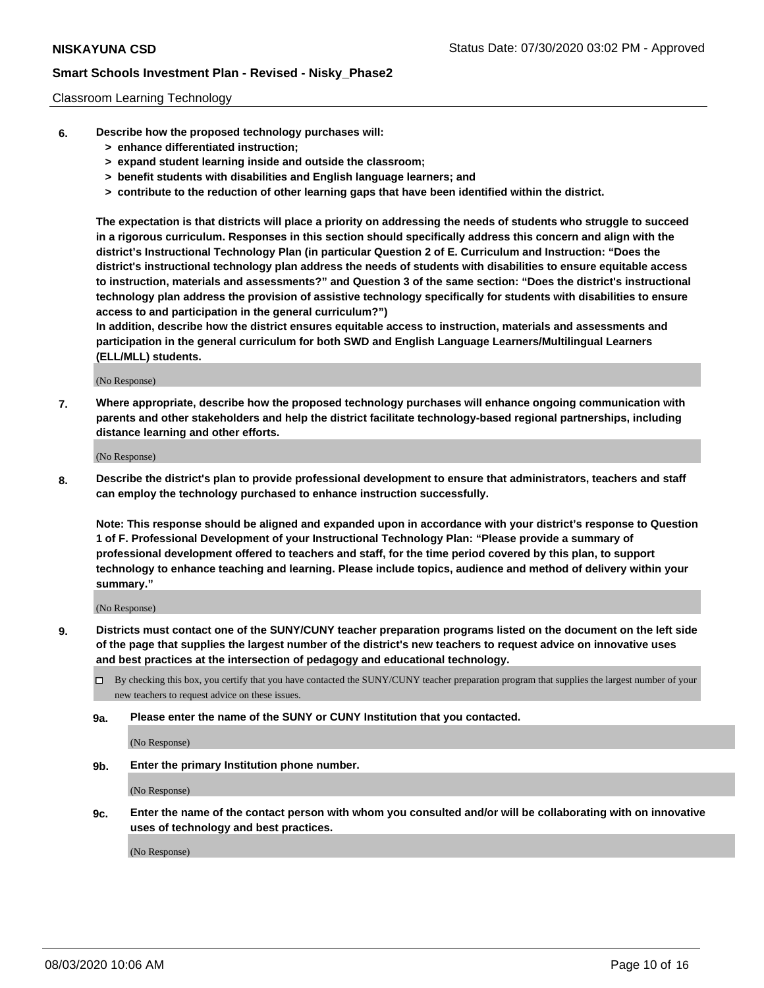### Classroom Learning Technology

- **6. Describe how the proposed technology purchases will:**
	- **> enhance differentiated instruction;**
	- **> expand student learning inside and outside the classroom;**
	- **> benefit students with disabilities and English language learners; and**
	- **> contribute to the reduction of other learning gaps that have been identified within the district.**

**The expectation is that districts will place a priority on addressing the needs of students who struggle to succeed in a rigorous curriculum. Responses in this section should specifically address this concern and align with the district's Instructional Technology Plan (in particular Question 2 of E. Curriculum and Instruction: "Does the district's instructional technology plan address the needs of students with disabilities to ensure equitable access to instruction, materials and assessments?" and Question 3 of the same section: "Does the district's instructional technology plan address the provision of assistive technology specifically for students with disabilities to ensure access to and participation in the general curriculum?")**

**In addition, describe how the district ensures equitable access to instruction, materials and assessments and participation in the general curriculum for both SWD and English Language Learners/Multilingual Learners (ELL/MLL) students.**

(No Response)

**7. Where appropriate, describe how the proposed technology purchases will enhance ongoing communication with parents and other stakeholders and help the district facilitate technology-based regional partnerships, including distance learning and other efforts.**

(No Response)

**8. Describe the district's plan to provide professional development to ensure that administrators, teachers and staff can employ the technology purchased to enhance instruction successfully.**

**Note: This response should be aligned and expanded upon in accordance with your district's response to Question 1 of F. Professional Development of your Instructional Technology Plan: "Please provide a summary of professional development offered to teachers and staff, for the time period covered by this plan, to support technology to enhance teaching and learning. Please include topics, audience and method of delivery within your summary."**

(No Response)

- **9. Districts must contact one of the SUNY/CUNY teacher preparation programs listed on the document on the left side of the page that supplies the largest number of the district's new teachers to request advice on innovative uses and best practices at the intersection of pedagogy and educational technology.**
	- By checking this box, you certify that you have contacted the SUNY/CUNY teacher preparation program that supplies the largest number of your new teachers to request advice on these issues.
	- **9a. Please enter the name of the SUNY or CUNY Institution that you contacted.**

(No Response)

**9b. Enter the primary Institution phone number.**

(No Response)

**9c. Enter the name of the contact person with whom you consulted and/or will be collaborating with on innovative uses of technology and best practices.**

(No Response)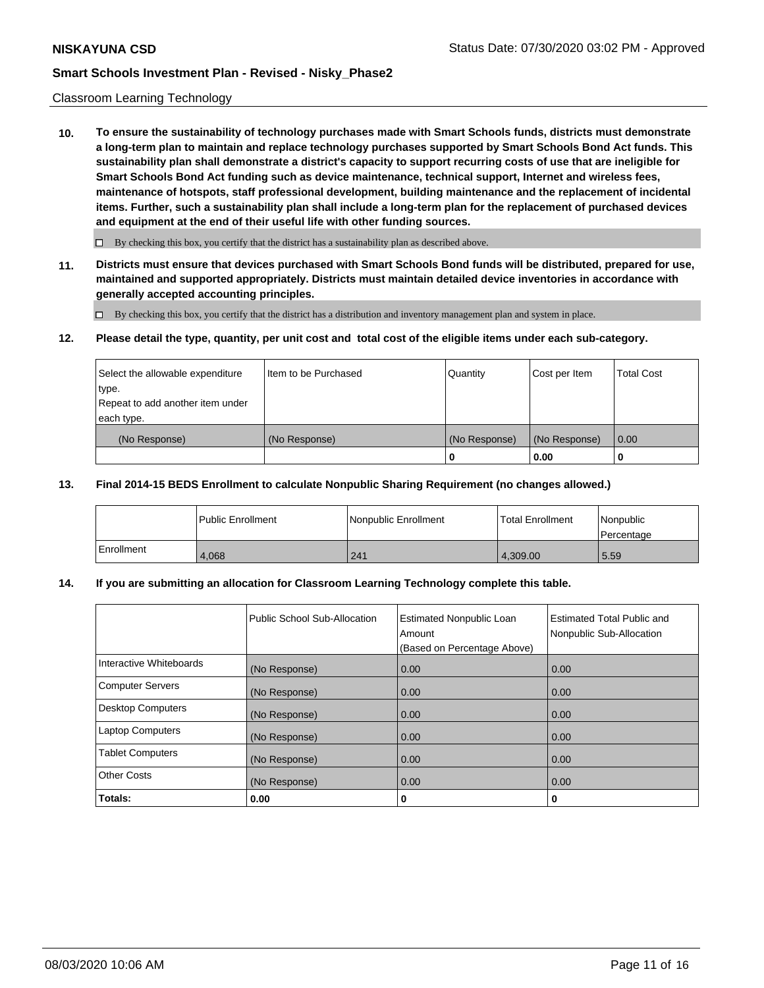### Classroom Learning Technology

**10. To ensure the sustainability of technology purchases made with Smart Schools funds, districts must demonstrate a long-term plan to maintain and replace technology purchases supported by Smart Schools Bond Act funds. This sustainability plan shall demonstrate a district's capacity to support recurring costs of use that are ineligible for Smart Schools Bond Act funding such as device maintenance, technical support, Internet and wireless fees, maintenance of hotspots, staff professional development, building maintenance and the replacement of incidental items. Further, such a sustainability plan shall include a long-term plan for the replacement of purchased devices and equipment at the end of their useful life with other funding sources.**

 $\Box$  By checking this box, you certify that the district has a sustainability plan as described above.

**11. Districts must ensure that devices purchased with Smart Schools Bond funds will be distributed, prepared for use, maintained and supported appropriately. Districts must maintain detailed device inventories in accordance with generally accepted accounting principles.**

By checking this box, you certify that the district has a distribution and inventory management plan and system in place.

### **12. Please detail the type, quantity, per unit cost and total cost of the eligible items under each sub-category.**

| Select the allowable expenditure<br>type.      | Item to be Purchased | Quantity      | Cost per Item | <b>Total Cost</b> |
|------------------------------------------------|----------------------|---------------|---------------|-------------------|
| Repeat to add another item under<br>each type. |                      |               |               |                   |
| (No Response)                                  | (No Response)        | (No Response) | (No Response) | 0.00              |
|                                                |                      |               | 0.00          |                   |

### **13. Final 2014-15 BEDS Enrollment to calculate Nonpublic Sharing Requirement (no changes allowed.)**

|            | l Public Enrollment | <b>INonpublic Enrollment</b> | <b>Total Enrollment</b> | Nonpublic<br>l Percentage |
|------------|---------------------|------------------------------|-------------------------|---------------------------|
| Enrollment | 4.068               | 241                          | 4.309.00                | 5.59                      |

## **14. If you are submitting an allocation for Classroom Learning Technology complete this table.**

|                         | Public School Sub-Allocation | <b>Estimated Nonpublic Loan</b><br>Amount<br>(Based on Percentage Above) | Estimated Total Public and<br>Nonpublic Sub-Allocation |
|-------------------------|------------------------------|--------------------------------------------------------------------------|--------------------------------------------------------|
| Interactive Whiteboards | (No Response)                | 0.00                                                                     | 0.00                                                   |
| Computer Servers        | (No Response)                | 0.00                                                                     | 0.00                                                   |
| Desktop Computers       | (No Response)                | 0.00                                                                     | 0.00                                                   |
| <b>Laptop Computers</b> | (No Response)                | 0.00                                                                     | 0.00                                                   |
| <b>Tablet Computers</b> | (No Response)                | 0.00                                                                     | 0.00                                                   |
| Other Costs             | (No Response)                | 0.00                                                                     | 0.00                                                   |
| Totals:                 | 0.00                         | 0                                                                        | 0                                                      |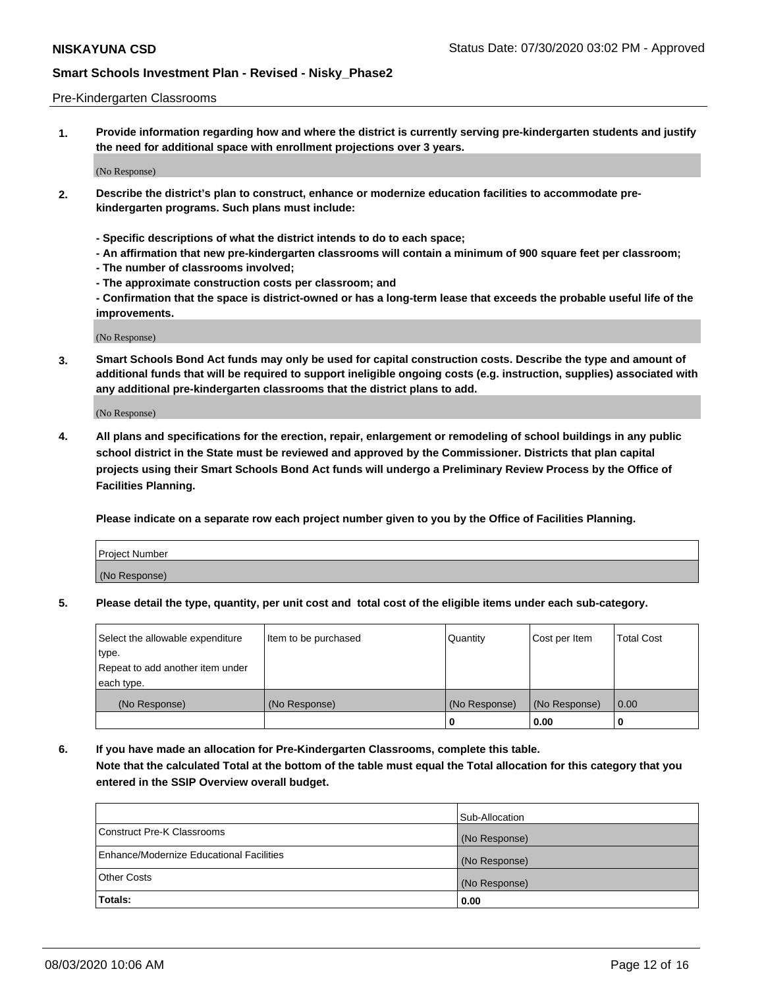### Pre-Kindergarten Classrooms

**1. Provide information regarding how and where the district is currently serving pre-kindergarten students and justify the need for additional space with enrollment projections over 3 years.**

(No Response)

- **2. Describe the district's plan to construct, enhance or modernize education facilities to accommodate prekindergarten programs. Such plans must include:**
	- **Specific descriptions of what the district intends to do to each space;**
	- **An affirmation that new pre-kindergarten classrooms will contain a minimum of 900 square feet per classroom;**
	- **The number of classrooms involved;**
	- **The approximate construction costs per classroom; and**
	- **Confirmation that the space is district-owned or has a long-term lease that exceeds the probable useful life of the improvements.**

(No Response)

**3. Smart Schools Bond Act funds may only be used for capital construction costs. Describe the type and amount of additional funds that will be required to support ineligible ongoing costs (e.g. instruction, supplies) associated with any additional pre-kindergarten classrooms that the district plans to add.**

(No Response)

**4. All plans and specifications for the erection, repair, enlargement or remodeling of school buildings in any public school district in the State must be reviewed and approved by the Commissioner. Districts that plan capital projects using their Smart Schools Bond Act funds will undergo a Preliminary Review Process by the Office of Facilities Planning.**

**Please indicate on a separate row each project number given to you by the Office of Facilities Planning.**

| Project Number |  |
|----------------|--|
| (No Response)  |  |
|                |  |

**5. Please detail the type, quantity, per unit cost and total cost of the eligible items under each sub-category.**

| Select the allowable expenditure | Item to be purchased | Quantity      | Cost per Item | <b>Total Cost</b> |
|----------------------------------|----------------------|---------------|---------------|-------------------|
| type.                            |                      |               |               |                   |
| Repeat to add another item under |                      |               |               |                   |
| each type.                       |                      |               |               |                   |
| (No Response)                    | (No Response)        | (No Response) | (No Response) | 0.00              |
|                                  |                      | U             | 0.00          |                   |

**6. If you have made an allocation for Pre-Kindergarten Classrooms, complete this table. Note that the calculated Total at the bottom of the table must equal the Total allocation for this category that you entered in the SSIP Overview overall budget.**

| Totals:                                  | 0.00           |
|------------------------------------------|----------------|
| <b>Other Costs</b>                       | (No Response)  |
| Enhance/Modernize Educational Facilities | (No Response)  |
| Construct Pre-K Classrooms               | (No Response)  |
|                                          | Sub-Allocation |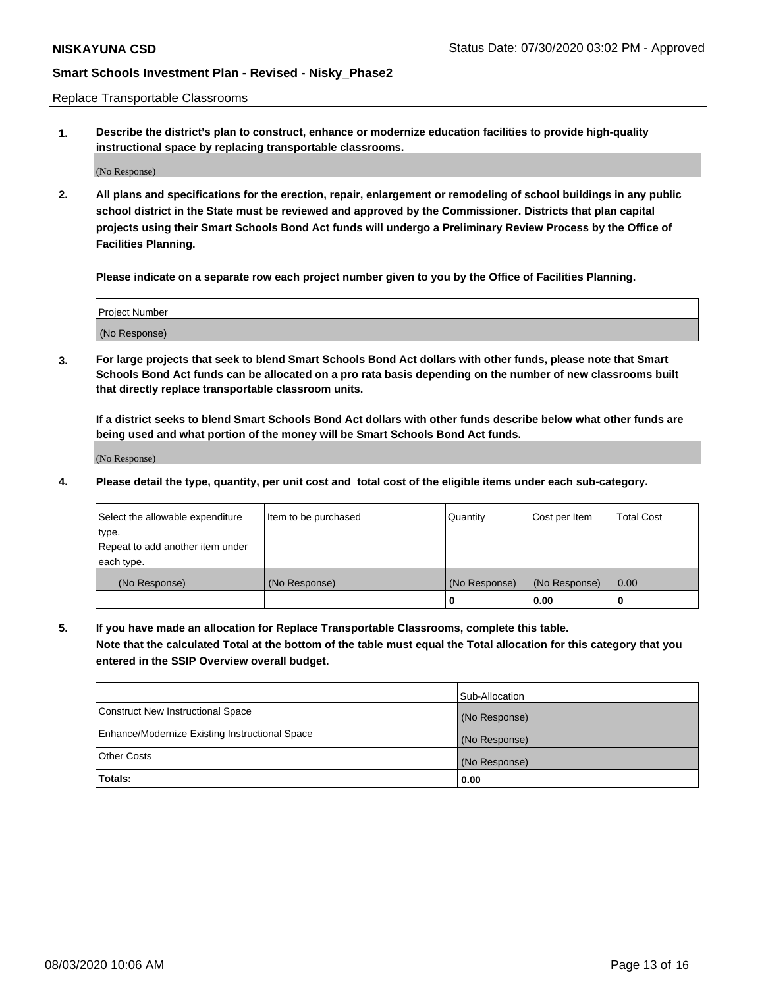Replace Transportable Classrooms

**1. Describe the district's plan to construct, enhance or modernize education facilities to provide high-quality instructional space by replacing transportable classrooms.**

(No Response)

**2. All plans and specifications for the erection, repair, enlargement or remodeling of school buildings in any public school district in the State must be reviewed and approved by the Commissioner. Districts that plan capital projects using their Smart Schools Bond Act funds will undergo a Preliminary Review Process by the Office of Facilities Planning.**

**Please indicate on a separate row each project number given to you by the Office of Facilities Planning.**

| Project Number |  |
|----------------|--|
|                |  |
|                |  |
|                |  |
| (No Response)  |  |
|                |  |
|                |  |

**3. For large projects that seek to blend Smart Schools Bond Act dollars with other funds, please note that Smart Schools Bond Act funds can be allocated on a pro rata basis depending on the number of new classrooms built that directly replace transportable classroom units.**

**If a district seeks to blend Smart Schools Bond Act dollars with other funds describe below what other funds are being used and what portion of the money will be Smart Schools Bond Act funds.**

(No Response)

**4. Please detail the type, quantity, per unit cost and total cost of the eligible items under each sub-category.**

| Select the allowable expenditure | Item to be purchased | Quantity      | Cost per Item | Total Cost |
|----------------------------------|----------------------|---------------|---------------|------------|
| ∣type.                           |                      |               |               |            |
| Repeat to add another item under |                      |               |               |            |
| each type.                       |                      |               |               |            |
| (No Response)                    | (No Response)        | (No Response) | (No Response) | 0.00       |
|                                  |                      | u             | 0.00          |            |

**5. If you have made an allocation for Replace Transportable Classrooms, complete this table. Note that the calculated Total at the bottom of the table must equal the Total allocation for this category that you entered in the SSIP Overview overall budget.**

|                                                | Sub-Allocation |
|------------------------------------------------|----------------|
| Construct New Instructional Space              | (No Response)  |
| Enhance/Modernize Existing Instructional Space | (No Response)  |
| Other Costs                                    | (No Response)  |
| Totals:                                        | 0.00           |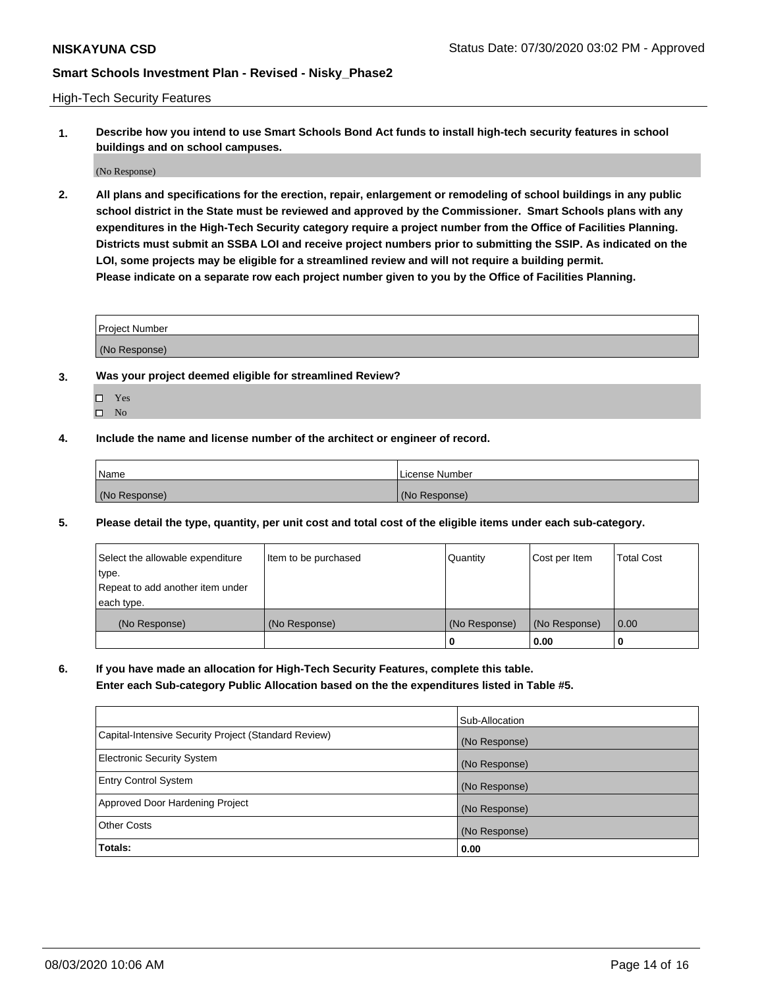High-Tech Security Features

**1. Describe how you intend to use Smart Schools Bond Act funds to install high-tech security features in school buildings and on school campuses.**

(No Response)

**2. All plans and specifications for the erection, repair, enlargement or remodeling of school buildings in any public school district in the State must be reviewed and approved by the Commissioner. Smart Schools plans with any expenditures in the High-Tech Security category require a project number from the Office of Facilities Planning. Districts must submit an SSBA LOI and receive project numbers prior to submitting the SSIP. As indicated on the LOI, some projects may be eligible for a streamlined review and will not require a building permit. Please indicate on a separate row each project number given to you by the Office of Facilities Planning.**

| <b>Project Number</b> |  |
|-----------------------|--|
| (No Response)         |  |

- **3. Was your project deemed eligible for streamlined Review?**
	- Yes
	- $\hfill \square$  No
- **4. Include the name and license number of the architect or engineer of record.**

| <b>Name</b>   | License Number |
|---------------|----------------|
| (No Response) | (No Response)  |

**5. Please detail the type, quantity, per unit cost and total cost of the eligible items under each sub-category.**

| Select the allowable expenditure | Item to be purchased | Quantity      | Cost per Item | Total Cost |
|----------------------------------|----------------------|---------------|---------------|------------|
| 'type.                           |                      |               |               |            |
| Repeat to add another item under |                      |               |               |            |
| each type.                       |                      |               |               |            |
| (No Response)                    | (No Response)        | (No Response) | (No Response) | 0.00       |
|                                  |                      | u             | 0.00          |            |

**6. If you have made an allocation for High-Tech Security Features, complete this table.**

**Enter each Sub-category Public Allocation based on the the expenditures listed in Table #5.**

|                                                      | Sub-Allocation |
|------------------------------------------------------|----------------|
| Capital-Intensive Security Project (Standard Review) | (No Response)  |
| <b>Electronic Security System</b>                    | (No Response)  |
| <b>Entry Control System</b>                          | (No Response)  |
| Approved Door Hardening Project                      | (No Response)  |
| <b>Other Costs</b>                                   | (No Response)  |
| Totals:                                              | 0.00           |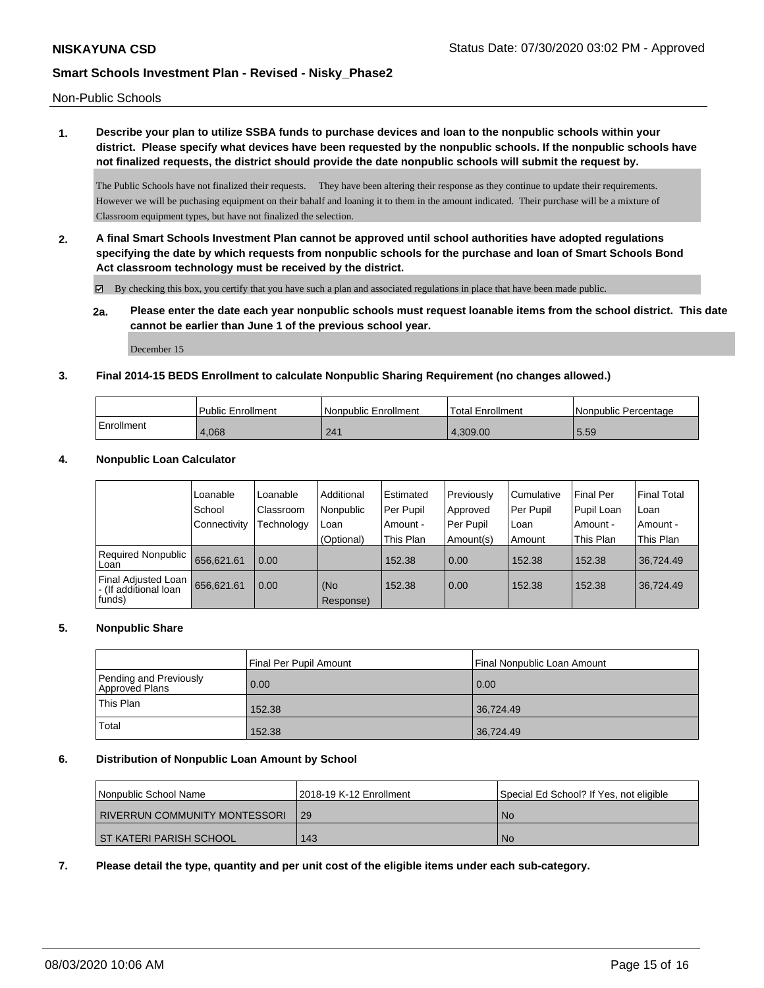Non-Public Schools

**1. Describe your plan to utilize SSBA funds to purchase devices and loan to the nonpublic schools within your district. Please specify what devices have been requested by the nonpublic schools. If the nonpublic schools have not finalized requests, the district should provide the date nonpublic schools will submit the request by.**

The Public Schools have not finalized their requests. They have been altering their response as they continue to update their requirements. However we will be puchasing equipment on their bahalf and loaning it to them in the amount indicated. Their purchase will be a mixture of Classroom equipment types, but have not finalized the selection.

**2. A final Smart Schools Investment Plan cannot be approved until school authorities have adopted regulations specifying the date by which requests from nonpublic schools for the purchase and loan of Smart Schools Bond Act classroom technology must be received by the district.**

By checking this box, you certify that you have such a plan and associated regulations in place that have been made public.

**2a. Please enter the date each year nonpublic schools must request loanable items from the school district. This date cannot be earlier than June 1 of the previous school year.**

December 15

### **3. Final 2014-15 BEDS Enrollment to calculate Nonpublic Sharing Requirement (no changes allowed.)**

|            | Public Enrollment | l Nonpublic Enrollment | Total Enrollment | l Nonpublic Percentage |
|------------|-------------------|------------------------|------------------|------------------------|
| Enrollment | 4.068             | 241                    | 4.309.00         | 5.59                   |

### **4. Nonpublic Loan Calculator**

|                                                          | Loanable            | Loanable   | Additional       | l Estimated | Previously | Cumulative | <b>Final Per</b> | l Final Total |
|----------------------------------------------------------|---------------------|------------|------------------|-------------|------------|------------|------------------|---------------|
|                                                          | School              | Classroom  | Nonpublic        | Per Pupil   | Approved   | Per Pupil  | Pupil Loan       | l Loan        |
|                                                          | <b>Connectivity</b> | Technology | Loan             | Amount -    | Per Pupil  | ∣Loan      | Amount -         | Amount -      |
|                                                          |                     |            | (Optional)       | This Plan   | Amount(s)  | Amount     | This Plan        | This Plan     |
| Required Nonpublic<br>Loan                               | 656.621.61          | 0.00       |                  | 152.38      | 0.00       | 152.38     | 152.38           | 36,724.49     |
| Final Adjusted Loan<br>I - (If additional loan<br>funds) | 656,621.61          | 0.00       | (No<br>Response) | 152.38      | 0.00       | 152.38     | 152.38           | 36.724.49     |

## **5. Nonpublic Share**

|                                          | Final Per Pupil Amount<br>Final Nonpublic Loan Amount |           |
|------------------------------------------|-------------------------------------------------------|-----------|
| Pending and Previously<br>Approved Plans | 0.00                                                  | 0.00      |
| This Plan                                | 152.38                                                | 36,724.49 |
| Total                                    | 152.38                                                | 36,724.49 |

### **6. Distribution of Nonpublic Loan Amount by School**

| Nonpublic School Name         | 12018-19 K-12 Enrollment | Special Ed School? If Yes, not eligible |
|-------------------------------|--------------------------|-----------------------------------------|
| RIVERRUN COMMUNITY MONTESSORI | 129                      | No.                                     |
| I ST KATERI PARISH SCHOOL     | 143                      | <b>No</b>                               |

### **7. Please detail the type, quantity and per unit cost of the eligible items under each sub-category.**